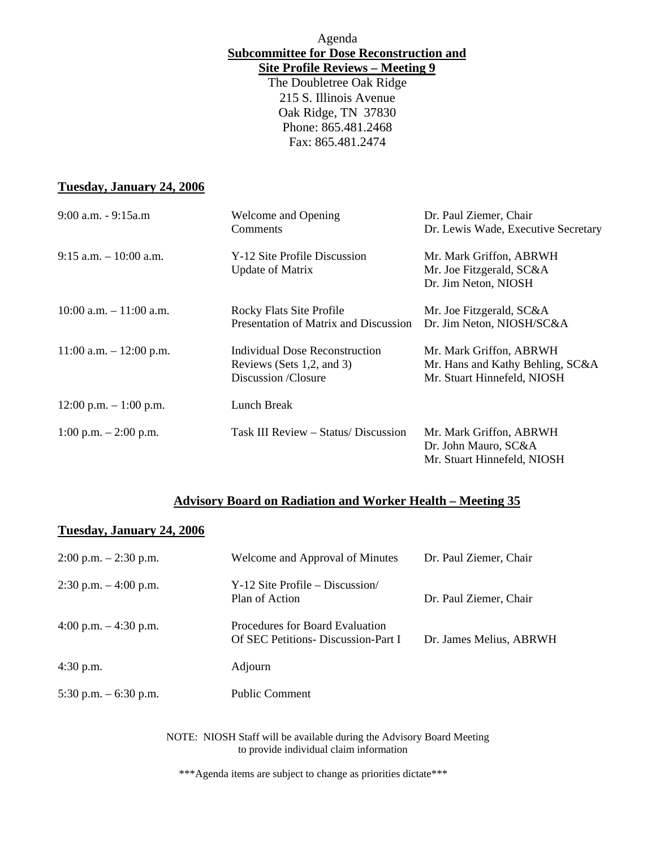Agenda **Subcommittee for Dose Reconstruction and Site Profile Reviews – Meeting 9**

The Doubletree Oak Ridge 215 S. Illinois Avenue Oak Ridge, TN 37830 Phone: 865.481.2468 Fax: 865.481.2474

#### **Tuesday, January 24, 2006**

| $9:00$ a.m. $-9:15$ a.m    | Welcome and Opening                   | Dr. Paul Ziemer, Chair              |
|----------------------------|---------------------------------------|-------------------------------------|
|                            | Comments                              | Dr. Lewis Wade, Executive Secretary |
| $9:15$ a.m. $-10:00$ a.m.  | Y-12 Site Profile Discussion          | Mr. Mark Griffon, ABRWH             |
|                            | <b>Update of Matrix</b>               | Mr. Joe Fitzgerald, SC&A            |
|                            |                                       | Dr. Jim Neton, NIOSH                |
| $10:00$ a.m. $-11:00$ a.m. | <b>Rocky Flats Site Profile</b>       | Mr. Joe Fitzgerald, SC&A            |
|                            | Presentation of Matrix and Discussion | Dr. Jim Neton, NIOSH/SC&A           |
| $11:00$ a.m. $-12:00$ p.m. | Individual Dose Reconstruction        | Mr. Mark Griffon, ABRWH             |
|                            | Reviews (Sets 1,2, and 3)             | Mr. Hans and Kathy Behling, SC&A    |
|                            | Discussion /Closure                   | Mr. Stuart Hinnefeld, NIOSH         |
| $12:00$ p.m. $-1:00$ p.m.  | Lunch Break                           |                                     |
| 1:00 p.m. $-2:00$ p.m.     | Task III Review – Status/ Discussion  | Mr. Mark Griffon, ABRWH             |
|                            |                                       | Dr. John Mauro, SC&A                |
|                            |                                       | Mr. Stuart Hinnefeld, NIOSH         |

### **Advisory Board on Radiation and Worker Health – Meeting 35**

#### **Tuesday, January 24, 2006**

| $2:00$ p.m. $-2:30$ p.m.                                                                                         | Welcome and Approval of Minutes                                               | Dr. Paul Ziemer, Chair  |  |  |
|------------------------------------------------------------------------------------------------------------------|-------------------------------------------------------------------------------|-------------------------|--|--|
| $2:30$ p.m. $-4:00$ p.m.                                                                                         | $Y-12$ Site Profile – Discussion<br>Plan of Action                            | Dr. Paul Ziemer, Chair  |  |  |
| 4:00 p.m. $-4:30$ p.m.                                                                                           | Procedures for Board Evaluation<br><b>Of SEC Petitions- Discussion-Part I</b> | Dr. James Melius, ABRWH |  |  |
| $4:30$ p.m.                                                                                                      | Adjourn                                                                       |                         |  |  |
| 5:30 p.m. $-$ 6:30 p.m.                                                                                          | <b>Public Comment</b>                                                         |                         |  |  |
| NOTE: NIOSH Staff will be available during the Advisory Board Meeting<br>to provide individual claim information |                                                                               |                         |  |  |

\*\*\*Agenda items are subject to change as priorities dictate\*\*\*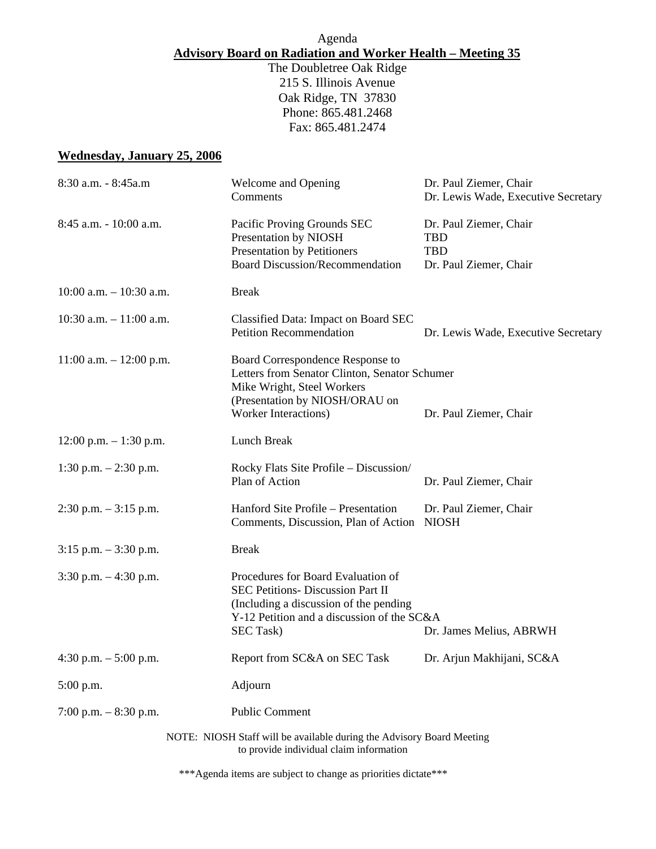# Agenda **Advisory Board on Radiation and Worker Health – Meeting 35**

The Doubletree Oak Ridge 215 S. Illinois Avenue Oak Ridge, TN 37830 Phone: 865.481.2468 Fax: 865.481.2474

## **Wednesday, January 25, 2006**

| 8:30 a.m. - 8:45a.m         | Welcome and Opening<br>Comments                                                                                                                                                     | Dr. Paul Ziemer, Chair<br>Dr. Lewis Wade, Executive Secretary                |
|-----------------------------|-------------------------------------------------------------------------------------------------------------------------------------------------------------------------------------|------------------------------------------------------------------------------|
| 8:45 a.m. - 10:00 a.m.      | Pacific Proving Grounds SEC<br>Presentation by NIOSH<br><b>Presentation by Petitioners</b><br><b>Board Discussion/Recommendation</b>                                                | Dr. Paul Ziemer, Chair<br><b>TBD</b><br><b>TBD</b><br>Dr. Paul Ziemer, Chair |
| $10:00$ a.m. $-10:30$ a.m.  | <b>Break</b>                                                                                                                                                                        |                                                                              |
| 10:30 a.m. $-11:00$ a.m.    | Classified Data: Impact on Board SEC<br><b>Petition Recommendation</b>                                                                                                              | Dr. Lewis Wade, Executive Secretary                                          |
| $11:00$ a.m. $- 12:00$ p.m. | Board Correspondence Response to<br>Letters from Senator Clinton, Senator Schumer<br>Mike Wright, Steel Workers<br>(Presentation by NIOSH/ORAU on<br><b>Worker Interactions)</b>    | Dr. Paul Ziemer, Chair                                                       |
| $12:00$ p.m. $-1:30$ p.m.   | Lunch Break                                                                                                                                                                         |                                                                              |
| 1:30 p.m. $- 2:30$ p.m.     | Rocky Flats Site Profile – Discussion/<br>Plan of Action                                                                                                                            | Dr. Paul Ziemer, Chair                                                       |
| $2:30$ p.m. $-3:15$ p.m.    | Hanford Site Profile – Presentation<br>Comments, Discussion, Plan of Action                                                                                                         | Dr. Paul Ziemer, Chair<br><b>NIOSH</b>                                       |
| $3:15$ p.m. $-3:30$ p.m.    | <b>Break</b>                                                                                                                                                                        |                                                                              |
| $3:30$ p.m. $-4:30$ p.m.    | Procedures for Board Evaluation of<br>SEC Petitions- Discussion Part II<br>(Including a discussion of the pending<br>Y-12 Petition and a discussion of the SC&A<br><b>SEC Task)</b> | Dr. James Melius, ABRWH                                                      |
| 4:30 p.m. $-5:00$ p.m.      | Report from SC&A on SEC Task                                                                                                                                                        | Dr. Arjun Makhijani, SC&A                                                    |
| $5:00$ p.m.                 | Adjourn                                                                                                                                                                             |                                                                              |
| 7:00 p.m. $-8:30$ p.m.      | <b>Public Comment</b>                                                                                                                                                               |                                                                              |
|                             | NOTE: NIOSH Staff will be available during the Advisory Board Meeting<br>to provide individual claim information                                                                    |                                                                              |

\*\*\*Agenda items are subject to change as priorities dictate\*\*\*